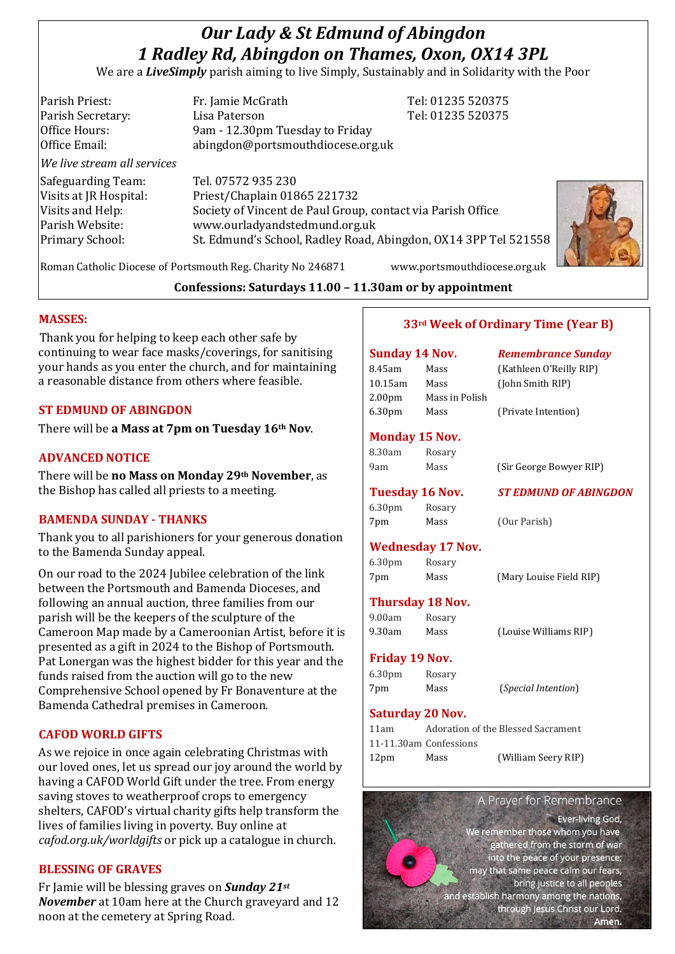# *Our Lady & St Edmund of Abingdon 1 Radley Rd, Abingdon on Thames, Oxon, OX14 3PL*

We are a *LiveSimply* parish aiming to live Simply, Sustainably and in Solidarity with the Poor

Parish Priest: Fr. Jamie McGrath Tel: 01235 520375 Parish Secretary: Tel: 01235 520375 Office Hours: 9am - 12.30pm Tuesday to Friday Office Email: abingdon@portsmouthdiocese.org.uk *We live stream all services* Safeguarding Team: Tel. 07572 935 230 Visits at JR Hospital: Priest/Chaplain 01865 221732 Visits and Help: Society of Vincent de Paul Group, contact via Parish Office Parish Website: www.ourladyandstedmund.org.uk Primary School: St. Edmund's School, Radley Road, Abingdon, OX14 3PP Tel 521558



Roman Catholic Diocese of Portsmouth Reg. Charity No 246871 www.portsmouthdiocese.org.uk

**Confessions: Saturdays 11.00 – 11.30am or by appointment**

## **MASSES:**

Thank you for helping to keep each other safe by continuing to wear face masks/coverings, for sanitising your hands as you enter the church, and for maintaining a reasonable distance from others where feasible.

## **ST EDMUND OF ABINGDON**

There will be **a Mass at 7pm on Tuesday 16th Nov**.

## **ADVANCED NOTICE**

There will be **no Mass on Monday 29th November**, as the Bishop has called all priests to a meeting.

# **BAMENDA SUNDAY - THANKS**

Thank you to all parishioners for your generous donation to the Bamenda Sunday appeal.

On our road to the 2024 Jubilee celebration of the link between the Portsmouth and Bamenda Dioceses, and following an annual auction, three families from our parish will be the keepers of the sculpture of the Cameroon Map made by a Cameroonian Artist, before it is presented as a gift in 2024 to the Bishop of Portsmouth. Pat Lonergan was the highest bidder for this year and the funds raised from the auction will go to the new Comprehensive School opened by Fr Bonaventure at the Bamenda Cathedral premises in Cameroon.

# **CAFOD WORLD GIFTS**

As we rejoice in once again celebrating Christmas with our loved ones, let us spread our joy around the world by having a CAFOD World Gift under the tree. From energy saving stoves to weatherproof crops to emergency shelters, CAFOD's virtual charity gifts help transform the lives of families living in poverty. Buy online at *cafod.org.uk/worldgifts* or pick up a catalogue in church.

# **BLESSING OF GRAVES**

Fr Jamie will be blessing graves on *Sunday 21st November* at 10am here at the Church graveyard and 12 noon at the cemetery at Spring Road.

# **33rd Week of Ordinary Time (Year B)**

# **Sunday 14 Nov.** *Remembrance Sunday* 8.45am Mass (Kathleen O'Reilly RIP) 10.15am Mass (John Smith RIP) 2.00pm Mass in Polish 6.30pm Mass (Private Intention) **Monday 15 Nov.**  8.30am Rosary 9am Mass (Sir George Bowyer RIP) **Tuesday 16 Nov.** *ST EDMUND OF ABINGDON* 6.30pm Rosary 7pm Mass (Our Parish) **Wednesday 17 Nov.** 6.30pm Rosary

7pm Mass (Mary Louise Field RIP)

# **Thursday 18 Nov.**

9.00am Rosary 9.30am Mass (Louise Williams RIP)

#### **Friday 19 Nov.**

6.30pm Rosary 7pm Mass (*Special Intention*)

#### **Saturday 20 Nov.**

| 11am             |                        | Adoration of the Blessed Sacrament |
|------------------|------------------------|------------------------------------|
|                  | 11-11.30am Confessions |                                    |
| 12 <sub>pm</sub> | Mass                   | (William Seery RIP)                |

#### A Prayer for Remembrance

Ever-living God, We remember those whom you have gathered from the storm of war into the peace of your presence; may that same peace calm our fears, bring justice to all peoples and establish harmony among the nations,<br>through Jesus Christ our Lord. Amen.